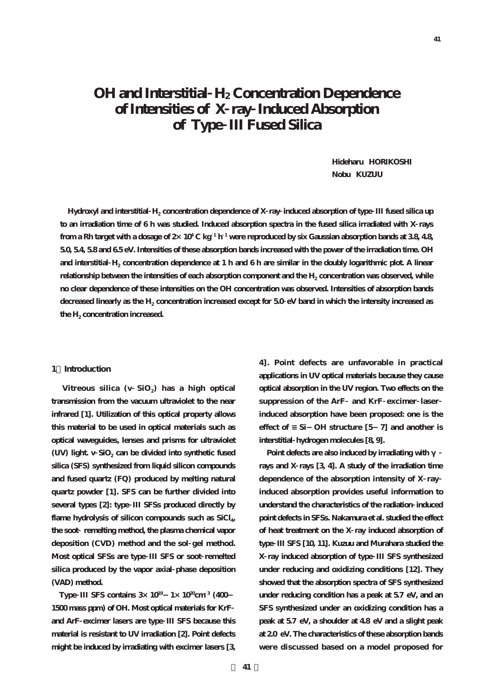**41**

# **OH and Interstitial H2 Concentration Dependence of Intensities of X ray Induced Absorption of Type III Fused Silica**

**Hideharu HORIKOSHI Nobu KUZUU**

**Hydroxyl and interstitial H2 concentration dependence of X ray induced absorption of type III fused silica up to an irradiation time of 6 h was studied. Induced absorption spectra in the fused silica irradiated with X rays from a Rh target with a dosage of 2×104 C kg <sup>1</sup> h <sup>1</sup> were reproduced by six Gaussian absorption bands at 3.8, 4.8, 5.0, 5.4, 5.8 and 6.5 eV. Intensities of these absorption bands increased with the power of the irradiation time. OH and interstitial H2 concentration dependence at 1 h and 6 h are similar in the doubly logarithmic plot. A linear** relationship between the intensities of each absorption component and the H<sub>2</sub> concentration was observed, while **no clear dependence of these intensities on the OH concentration was observed. Intensities of absorption bands decreased linearly as the H2 concentration increased except for 5.0 eV band in which the intensity increased as** the H<sub>2</sub> concentration increased.

#### **1.Introduction**

Vitreous silica (v SiO<sub>2</sub>) has a high optical **transmission from the vacuum ultraviolet to the near infrared [1]. Utilization of this optical property allows this material to be used in optical materials such as optical waveguides, lenses and prisms for ultraviolet** (UV) light. v SiO<sub>2</sub> can be divided into synthetic fused **silica (SFS) synthesized from liquid silicon compounds and fused quartz (FQ) produced by melting natural quartz powder [1]. SFS can be further divided into several types [2]: type III SFSs produced directly by** flame hydrolysis of silicon compounds such as SiCl<sub>4</sub>, **the soot remelting method, the plasma chemical vapor deposition (CVD) method and the sol gel method. Most optical SFSs are type III SFS or soot remelted silica produced by the vapor axial phase deposition (VAD) method.**

**Type III SFS contains 3×1019-1×1020cm <sup>3</sup> (400- 1500 mass ppm) of OH. Most optical materials for KrF and ArF excimer lasers are type III SFS because this material is resistant to UV irradiation [2]. Point defects might be induced by irradiating with excimer lasers [3,**

**4]. Point defects are unfavorable in practical applications in UV optical materials because they cause optical absorption in the UV region. Two effects on the suppression of the ArF and KrF excimer laser induced absorption have been proposed: one is the effect of ≡Si-OH structure [5-7] and another is interstitial hydrogen molecules [8, 9].**

Point defects are also induced by irradiating with **rays and X rays [3, 4]. A study of the irradiation time dependence of the absorption intensity of X ray induced absorption provides useful information to understand the characteristics of the radiation induced point defects in SFSs. Nakamura et al. studied the effect of heat treatment on the X ray induced absorption of type III SFS [10, 11]. Kuzuu and Murahara studied the X ray induced absorption of type III SFS synthesized under reducing and oxidizing conditions [12]. They showed that the absorption spectra of SFS synthesized under reducing condition has a peak at 5.7 eV, and an SFS synthesized under an oxidizing condition has a peak at 5.7 eV, a shoulder at 4.8 eV and a slight peak at 2.0 eV. The characteristics of these absorption bands were discussed based on a model proposed for**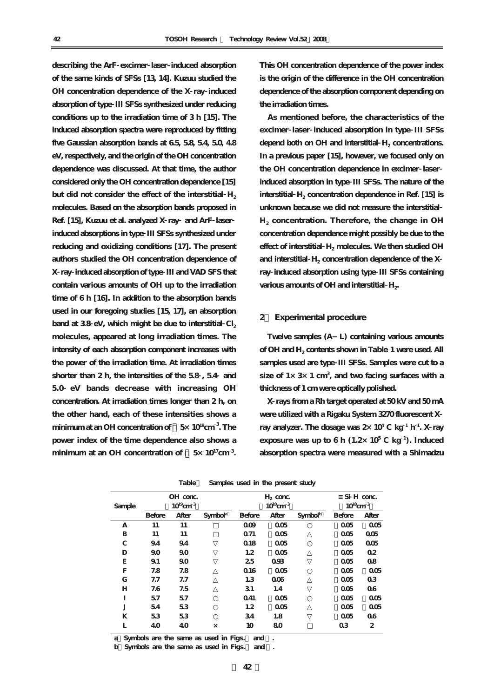**describing the ArF excimer laser induced absorption of the same kinds of SFSs [13, 14]. Kuzuu studied the OH concentration dependence of the X ray induced absorption of type III SFSs synthesized under reducing conditions up to the irradiation time of 3 h [15]. The induced absorption spectra were reproduced by fitting five Gaussian absorption bands at 6.5, 5.8, 5.4, 5.0, 4.8 eV, respectively, and the origin of the OH concentration dependence was discussed. At that time, the author considered only the OH concentration dependence [15]** but did not consider the effect of the interstitial H<sub>2</sub> **molecules. Based on the absorption bands proposed in Ref. [15], Kuzuu et al. analyzed X ray and ArF laser induced absorptions in type III SFSs synthesized under reducing and oxidizing conditions [17]. The present authors studied the OH concentration dependence of X ray induced absorption of type III and VAD SFS that contain various amounts of OH up to the irradiation time of 6 h [16]. In addition to the absorption bands used in our foregoing studies [15, 17], an absorption** band at 3.8 eV, which might be due to interstitial  $CI<sub>2</sub>$ **molecules, appeared at long irradiation times. The intensity of each absorption component increases with the power of the irradiation time. At irradiation times shorter than 2 h, the intensities of the 5.8 , 5.4 and 5.0 eV bands decrease with increasing OH concentration. At irradiation times longer than 2 h, on the other hand, each of these intensities shows a minimum at an OH concentration of 5×1018cm <sup>3</sup> . The power index of the time dependence also shows a** minimum at an OH concentration of  $5 \times 10^{17}$  cm<sup>3</sup>.

**This OH concentration dependence of the power index is the origin of the difference in the OH concentration dependence of the absorption component depending on the irradiation times.**

**As mentioned before, the characteristics of the excimer laser induced absorption in type III SFSs** depend both on OH and interstitial H<sub>2</sub> concentrations. **In a previous paper [15], however, we focused only on the OH concentration dependence in excimer laser induced absorption in type III SFSs. The nature of the** interstitial H<sub>2</sub> concentration dependence in Ref. [15] is **unknown because we did not measure the interstitial H2 concentration. Therefore, the change in OH concentration dependence might possibly be due to the** effect of interstitial H<sub>2</sub> molecules. We then studied OH and interstitial  $H_2$  concentration dependence of the  $X$ **ray induced absorption using type III SFSs containing** various amounts of OH and interstitial H<sub>2</sub>.

## **2. Experimental procedure**

**Twelve samples (A-L) containing various amounts of OH and H2 contents shown in Table 1 were used. All samples used are type III SFSs. Samples were cut to a size of 1×3×1 cm<sup>3</sup> , and two facing surfaces with a thickness of 1 cm were optically polished.**

**X rays from a Rh target operated at 50 kV and 50 mA were utilized with a Rigaku System 3270 fluorescent X ray analyzer. The dosage was 2×104 C kg <sup>1</sup> h <sup>1</sup> . X ray exposure was up to 6 h (1.2×10<sup>5</sup> C kg <sup>1</sup> ). Induced absorption spectra were measured with a Shimadzu**

|             | OH conc.                  |       |                     | $H_2$ conc.               |       |                     | Si H conc.                |                |
|-------------|---------------------------|-------|---------------------|---------------------------|-------|---------------------|---------------------------|----------------|
| Sample      | $10^{19}$ cm <sup>3</sup> |       |                     | $10^{18}$ cm <sup>3</sup> |       |                     | $10^{18}$ cm <sup>3</sup> |                |
|             | <b>Before</b>             | After | Symbol <sup>a</sup> | <b>Before</b>             | After | Symbol <sup>b</sup> | <b>Before</b>             | After          |
| A           | 11                        | 11    |                     | 009                       | 005   |                     | 005                       | 005            |
| B           | 11                        | 11    |                     | Q71                       | 005   |                     | 005                       | 005            |
| C           | 94                        | 94    |                     | 018                       | 005   |                     | 005                       | 005            |
| D           | 90                        | 90    |                     | 1.2                       | 005   |                     | 005                       | 02             |
| Е           | 91                        | 90    |                     | 25                        | 093   |                     | 005                       | 08             |
| F           | 7.8                       | 7.8   |                     | 0.16                      | 005   |                     | 005                       | 005            |
| $\mathbf G$ | 7.7                       | 7.7   |                     | 1.3                       | 006   |                     | 005                       | 0 <sub>3</sub> |
| H           | 7.6                       | 7.5   |                     | 31                        | 1.4   |                     | 005                       | 06             |
| I           | 57                        | 57    |                     | Q <sub>41</sub>           | 005   |                     | 005                       | 005            |
| J           | 54                        | 53    |                     | 1.2                       | 005   |                     | 005                       | 005            |
| K           | 53                        | 53    |                     | 34                        | 1.8   |                     | 005                       | 06             |
| L           | 40                        | 40    | $\times$            | 10                        | 80    |                     | 0 <sub>3</sub>            | 2              |
|             |                           |       |                     |                           |       |                     |                           |                |

| Table<br>Samples used in the present study |  |
|--------------------------------------------|--|
|--------------------------------------------|--|

**a)Symbols are the same as used in Figs.3 and .**

**b** Symbols are the same as used in Figs. and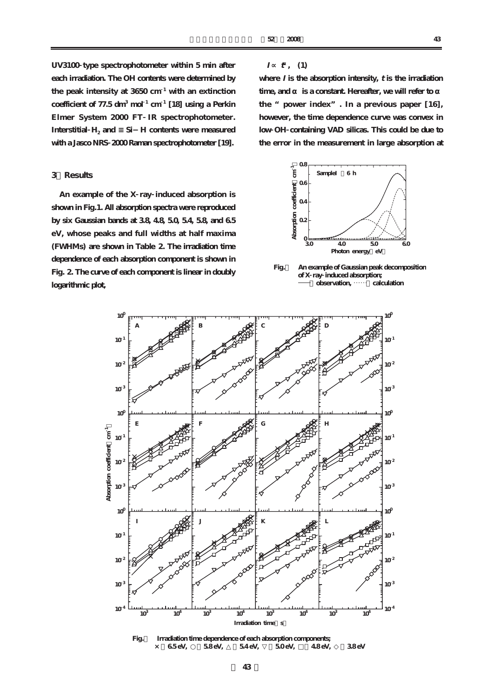**UV3100 type spectrophotometer within 5 min after each irradiation. The OH contents were determined by the peak intensity at 3650 cm <sup>1</sup> with an extinction coefficient of 77.5 dm<sup>3</sup> mol <sup>1</sup> cm <sup>1</sup> [18] using a Perkin Elmer System 2000 FT IR spectrophotometer.** Interstitial **H<sub>2</sub>** and Si-H contents were measured **with a Jasco NRS 2000 Raman spectrophotometer [19].**

## **3.Results**

**An example of the X ray induced absorption is shown in Fig.1. All absorption spectra were reproduced by six Gaussian bands at 3.8, 4.8, 5.0, 5.4, 5.8, and 6.5 eV, whose peaks and full widths at half maxima (FWHMs) are shown in Table 2. The irradiation time dependence of each absorption component is shown in Fig. 2. The curve of each component is linear in doubly logarithmic plot,**

#### **I <sup>t</sup> , (1)**

where  $I$  is the absorption intensity,  $t$  is the irradiation time, and **is a constant.** Hereafter, we will refer to **the "power index". In a previous paper [16], however, the time dependence curve was convex in low OH containing VAD silicas. This could be due to the error in the measurement in large absorption at**



**Fig.1 An example of Gaussian peak decomposition of X ray induced absorption;**   $\alpha$ bservation, ......<sup>7</sup> calculation

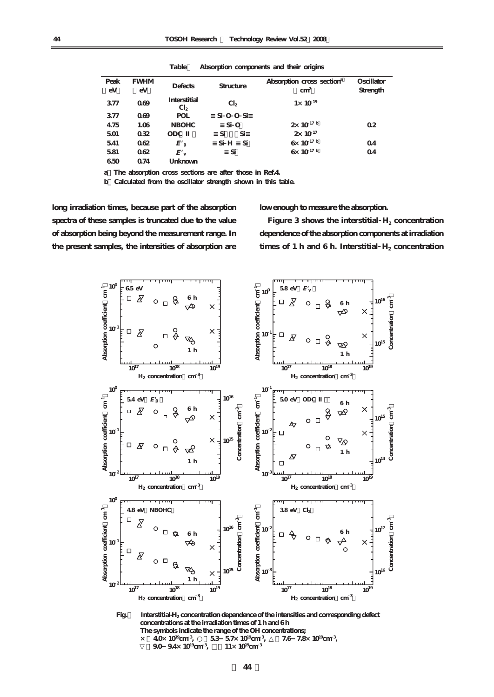| Peak | <b>FWHM</b> | <b>Defects</b>                         | Structure             | Absorption cross section <sup>a</sup> | Oscillator     |
|------|-------------|----------------------------------------|-----------------------|---------------------------------------|----------------|
| eV   | eV          |                                        |                       | $\text{cm}^2$                         | Strength       |
| 377  | 069         | <b>Interstitial</b><br>Cl <sub>2</sub> | Cl <sub>2</sub>       | $1 \times 10^{19}$                    |                |
| 377  | 069         | <b>POL</b>                             | Si O O Si             |                                       |                |
| 475  | 1.06        | <b>NBOHC</b>                           | $Si$ O                | $2 \times 10^{17}$ b                  | 02             |
| 501  | 032         | <b>ODC</b>                             | Si<br>Si              | $2 \times 10^{17}$                    |                |
| 541  | 062         | $E^{\prime}$                           | Si<br>Si <sub>H</sub> | $6 \times 10^{17}$ b                  | 04             |
| 581  | 062         | E'                                     | Si                    | $6 \times 10^{17}$ b                  | 0 <sub>4</sub> |
| 650  | 074         | Unknown                                |                       |                                       |                |

**Table2 Absorption components and their origins**

**a)The absorption cross sections are after those in Ref.4.**

**b)Calculated from the oscillator strength shown in this table.**

**long irradiation times, because part of the absorption spectra of these samples is truncated due to the value of absorption being beyond the measurement range. In the present samples, the intensities of absorption are**

### **low enough to measure the absorption.**

Figure 3 shows the interstitial  $H_2$  concentration **dependence of the absorption components at irradiation** times of 1 h and 6 h. Interstitial  $H_2$  concentration



 **The symbols indicate the range of the OH concentrations;**   $\times$  **40** $\times$  10<sup>19</sup>cm<sup>3</sup>,  $53\,$   $57\times10^{19}$ cm<sup>3</sup>, **7.6** 7.8 $\times$  10<sup>19</sup>cm<sup>3</sup>,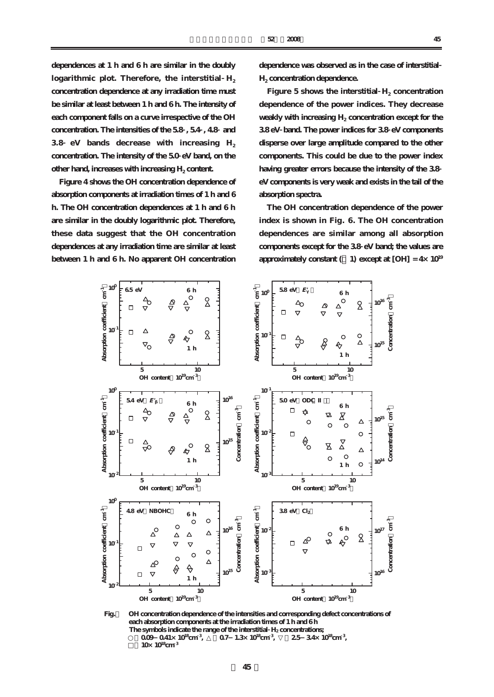**dependences at 1 h and 6 h are similar in the doubly** logarithmic plot. Therefore, the interstitial  $H_2$ **concentration dependence at any irradiation time must be similar at least between 1 h and 6 h. The intensity of each component falls on a curve irrespective of the OH concentration. The intensities of the 5.8 , 5.4 , 4.8 and 3.8 eV** bands decrease with increasing H<sub>2</sub> **concentration. The intensity of the 5.0 eV band, on the** other hand, increases with increasing H<sub>2</sub> content.

**Figure 4 shows the OH concentration dependence of absorption components at irradiation times of 1 h and 6 h. The OH concentration dependences at 1 h and 6 h are similar in the doubly logarithmic plot. Therefore, these data suggest that the OH concentration dependences at any irradiation time are similar at least between 1 h and 6 h. No apparent OH concentration**

**dependence was observed as in the case of interstitial H2 concentration dependence.**

Figure 5 shows the interstitial  $H_2$  concentration **dependence of the power indices. They decrease** weakly with increasing H<sub>2</sub> concentration except for the **3.8 eV band. The power indices for 3.8 eV components disperse over large amplitude compared to the other components. This could be due to the power index having greater errors because the intensity of the 3.8 eV components is very weak and exists in the tail of the absorption spectra.**

**The OH concentration dependence of the power index is shown in Fig. 6. The OH concentration dependences are similar among all absorption components except for the 3.8 eV band; the values are** approximately constant  $($  **1**) except at  $[OH] = 4 \times 10^{19}$ 



**Fig.4 OH concentration dependence of the intensities and corresponding defect concentrations of** each absorption components at the irradiation times of 1 h and 6 h The symbols indicate the range of the interstitial H<sub>2</sub> concentrations;  **○:0.09-0.41×1018cm <sup>3</sup> , △:0.7-1.3×1018cm <sup>3</sup> 2.5**  $34 \times 10^{8}$ cm<sup>3</sup>, **10**<sup>k</sup>  $10^{18}$ cm<sup>3</sup>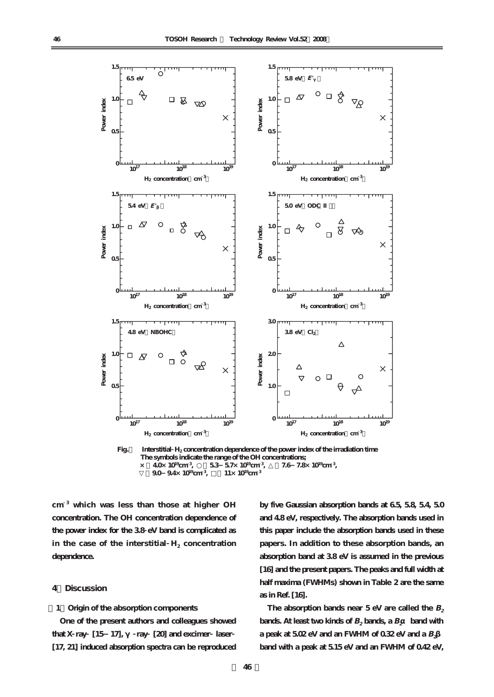

 $\times$  **40** $\times$  10<sup>19</sup>cm<sup>3</sup>.  $53\,57\times10^{19}$ cm<sup>3</sup> **7.6** 7.8 $\times$  10<sup>19</sup>cm<sup>3</sup>,

 **▽:9.0-9.4×1019cm <sup>3</sup> 11×10<sup>19</sup>cm<sup>3</sup>** 

**cm <sup>3</sup> which was less than those at higher OH concentration. The OH concentration dependence of the power index for the 3.8 eV band is complicated as** in the case of the interstitial  $H_2$  concentration **dependence.**

## **4.Discussion**

### **[1]Origin of the absorption components**

**One of the present authors and colleagues showed that X ray [15-17], γ ray [20] and excimer laser [17, 21] induced absorption spectra can be reproduced** **by five Gaussian absorption bands at 6.5, 5.8, 5.4, 5.0 and 4.8 eV, respectively. The absorption bands used in this paper include the absorption bands used in these papers. In addition to these absorption bands, an absorption band at 3.8 eV is assumed in the previous [16] and the present papers. The peaks and full width at half maxima (FWHMs) shown in Table 2 are the same as in Ref. [16].**

The absorption bands near  $5 \text{ eV}$  are called the  $B_2$ **bands.** At least two kinds of  $B_2$  bands, a  $B_2$  band with a peak at  $502 \text{ eV}$  and an FWHM of  $0.32 \text{ eV}$  and a  $B_2$ **band with a peak at 5.15 eV and an FWHM of 0.42 eV,**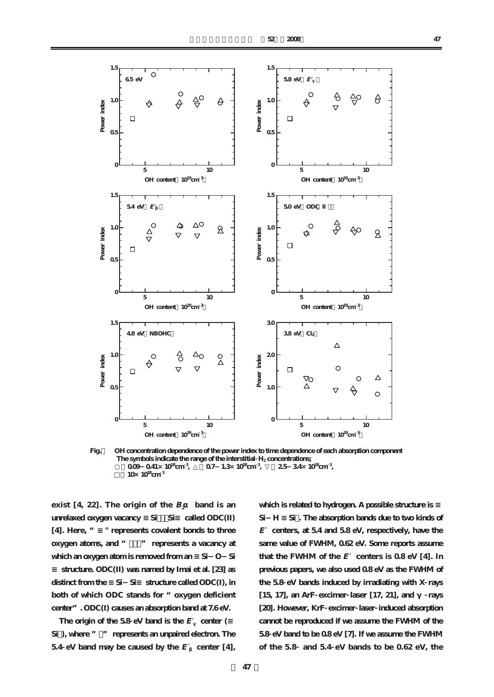

**Fig.6 OH concentration dependence of the power index to time dependence of each absorption component** The symbols indicate the range of the interstitial H<sub>2</sub> concentrations;  **○:0.09-0.41×1018cm <sup>3</sup> , △:0.7-1.3×1018cm <sup>3</sup> , ▽:2.5-3.4×1018cm <sup>3</sup>**  $\frac{1}{2}$ ,  $\frac{1}{2}$ ,  $\frac{1}{2}$ ,  $\frac{1}{2}$ ,  $\frac{1}{2}$ ,  $\frac{1}{2}$ ,  $\frac{1}{2}$ ,  $\frac{1}{2}$ ,  $\frac{1}{2}$ ,  $\frac{1}{2}$ ,  $\frac{1}{2}$ ,  $\frac{1}{2}$ ,  $\frac{1}{2}$ ,  $\frac{1}{2}$ ,  $\frac{1}{2}$ ,  $\frac{1}{2}$ ,  $\frac{1}{2}$ ,  $\frac{1}{2}$ ,  $\frac{1}{2}$ ,  $\frac{1}{2}$ ,  **□:10×1018cm <sup>3</sup>**  $\mathbf{B}$ 

**exist** [4, 22]. The origin of the  $B_2$  **band is an** unrelaxed oxygen vacancy Si Si called ODC(II) **[4]. Here, "≡" represents covalent bonds to three** oxygen atoms, and " <sup>"</sup> represents a vacancy at **which an oxygen atom is removed from an ≡Si-O-Si structure. ODC(II) was named by Imai et al. [23] as** distinct from the Si-Si structure called ODC(I), in **both of which ODC stands for "oxygen deficient center". ODC(I) causes an absorption band at 7.6 eV.**

The origin of the  $58 \text{ eV}$  band is the  $E$  center ( $\frac{1}{2}$ Si), where " " represents an unpaired electron. The **5.4 eV** band may be caused by the  $E$  center [4],

which is related to hydrogen. A possible structure is **Si-H ≡Si・. The absorption bands due to two kinds of E′centers, at 5.4 and 5.8 eV, respectively, have the same value of FWHM, 0.62 eV. Some reports assume that the FWHM of the**  $E$  centers is  $0.8 \text{ eV}$  [4]. In **previous papers, we also used 0.8 eV as the FWHM of the 5.8 eV bands induced by irradiating with X rays [15, 17], an ArF excimer laser [17, 21], and γ rays [20]. However, KrF excimer laser induced absorption cannot be reproduced if we assume the FWHM of the 5.8 eV band to be 0.8 eV [7]. If we assume the FWHM of the 5.8 and 5.4 eV bands to be 0.62 eV, the**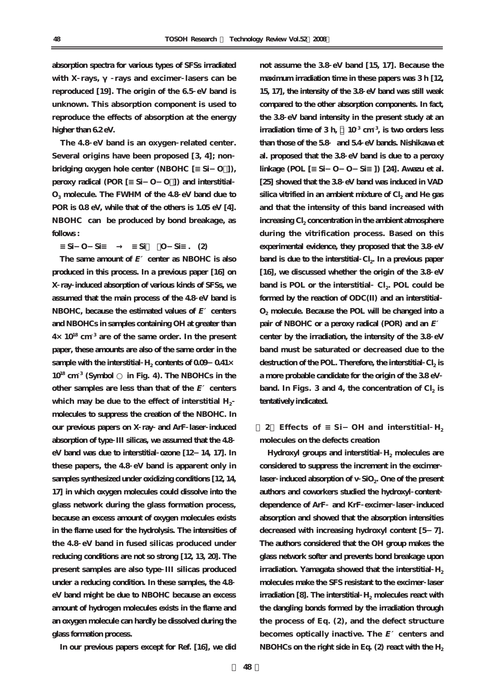**absorption spectra for various types of SFSs irradiated** with X rays, rays and excimer lasers can be **reproduced [19]. The origin of the 6.5 eV band is unknown. This absorption component is used to reproduce the effects of absorption at the energy higher than 6.2 eV.**

**The 4.8 eV band is an oxygen related center. Several origins have been proposed [3, 4]; non bridging oxygen hole center (NBOHC [≡Si-O・]), peroxy radical (POR [≡Si-O-O・]) and interstitial O3 molecule. The FWHM of the 4.8 eV band due to POR is 0.8 eV, while that of the others is 1.05 eV [4]. NBOHC can be produced by bond breakage, as follows :**

**≡Si-O-Si≡ → ≡Si・ ・O-Si≡. (2)**

**The same amount of E′center as NBOHC is also produced in this process. In a previous paper [16] on X ray induced absorption of various kinds of SFSs, we assumed that the main process of the 4.8 eV band is NBOHC, because the estimated values of E′centers and NBOHCs in samples containing OH at greater than 4×10<sup>18</sup> cm <sup>3</sup> are of the same order. In the present paper, these amounts are also of the same order in the sample with the interstitial H<sub>2</sub> contents of 0.09 0.41× 10<sup>18</sup> cm <sup>3</sup> (Symbol ○ in Fig. 4). The NBOHCs in the other samples are less than that of the E′centers** which may be due to the effect of interstitial H<sub>2</sub> **molecules to suppress the creation of the NBOHC. In our previous papers on X ray and ArF laser induced absorption of type III silicas, we assumed that the 4.8 eV band was due to interstitial ozone [12-14, 17]. In these papers, the 4.8 eV band is apparent only in samples synthesized under oxidizing conditions [12, 14, 17] in which oxygen molecules could dissolve into the glass network during the glass formation process, because an excess amount of oxygen molecules exists in the flame used for the hydrolysis. The intensities of the 4.8 eV band in fused silicas produced under reducing conditions are not so strong [12, 13, 20]. The present samples are also type III silicas produced under a reducing condition. In these samples, the 4.8 eV band might be due to NBOHC because an excess amount of hydrogen molecules exists in the flame and an oxygen molecule can hardly be dissolved during the glass formation process.**

**not assume the 3.8 eV band [15, 17]. Because the maximum irradiation time in these papers was 3 h [12, 15, 17], the intensity of the 3.8 eV band was still weak compared to the other absorption components. In fact, the 3.8 eV band intensity in the present study at an irradiation time of 3 h**, **, is two orders less than those of the 5.8 and 5.4 eV bands. Nishikawa et al. proposed that the 3.8 eV band is due to a peroxy linkage (POL [≡Si-O-O-Si≡]) [24]. Awazu et al. [25] showed that the 3.8 eV band was induced in VAD** silica vitrified in an ambient mixture of Cl<sub>2</sub> and He gas **and that the intensity of this band increased with** increasing Cl<sub>2</sub> concentration in the ambient atmosphere **during the vitrification process. Based on this experimental evidence, they proposed that the 3.8 eV** band is due to the interstitial Cl<sub>2</sub>. In a previous paper **[16], we discussed whether the origin of the 3.8 eV** band is POL or the interstitial Cl<sub>2</sub>. POL could be **formed by the reaction of ODC(II) and an interstitial O2 molecule. Because the POL will be changed into a pair of NBOHC or a peroxy radical (POR) and an E′ center by the irradiation, the intensity of the 3.8 eV band must be saturated or decreased due to the** destruction of the POL. Therefore, the interstitial Cl<sub>2</sub> is **a more probable candidate for the origin of the 3.8 eV** band. In **Figs. 3** and **4**, the concentration of  $Cl_2$  is **tentatively indicated.**

**[ 2 Effects of ≡ Si- OH and interstitial H2 molecules on the defects creation**

Hydroxyl groups and interstitial H<sub>2</sub> molecules are **considered to suppress the increment in the excimer** laser induced absorption of v SiO<sub>2</sub>. One of the present **authors and coworkers studied the hydroxyl content dependence of ArF and KrF excimer laser induced absorption and showed that the absorption intensities decreased with increasing hydroxyl content [5-7]. The authors considered that the OH group makes the glass network softer and prevents bond breakage upon** irradiation. Yamagata showed that the interstitial H<sub>2</sub> **molecules make the SFS resistant to the excimer laser** irradiation [8]. The interstitial H<sub>2</sub> molecules react with **the dangling bonds formed by the irradiation through the process of Eq. (2), and the defect structure becomes optically inactive. The E′centers and** NBOHCs on the right side in Eq. (2) react with the H<sub>2</sub>

**In our previous papers except for Ref. [16], we did**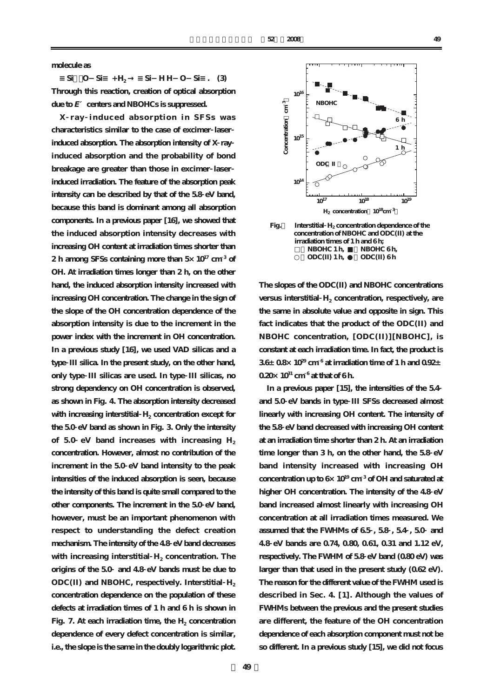**molecule as**

 $\text{Si}$  O  $\text{Si}$  + H<sub>2</sub>  $\text{Si}$  HH O  $\text{Si}$  . (3) **Through this reaction, creation of optical absorption due to E′centers and NBOHCs is suppressed.**

**X ray induced absorption in SFSs was characteristics similar to the case of excimer laser induced absorption. The absorption intensity of X ray induced absorption and the probability of bond breakage are greater than those in excimer laser induced irradiation. The feature of the absorption peak intensity can be described by that of the 5.8 eV band, because this band is dominant among all absorption components. In a previous paper [16], we showed that the induced absorption intensity decreases with increasing OH content at irradiation times shorter than 2 h among SFSs containing more than 5×1017 cm <sup>3</sup> of OH. At irradiation times longer than 2 h, on the other hand, the induced absorption intensity increased with increasing OH concentration. The change in the sign of the slope of the OH concentration dependence of the absorption intensity is due to the increment in the power index with the increment in OH concentration. In a previous study [16], we used VAD silicas and a type III silica. In the present study, on the other hand, only type III silicas are used. In type III silicas, no strong dependency on OH concentration is observed, as shown in Fig. 4. The absorption intensity decreased** with increasing interstitial H<sub>2</sub> concentration except for **the 5.0 eV band as shown in Fig. 3. Only the intensity** of 5.0 eV band increases with increasing H<sub>2</sub> **concentration. However, almost no contribution of the increment in the 5.0 eV band intensity to the peak intensities of the induced absorption is seen, because the intensity of this band is quite small compared to the other components. The increment in the 5.0 eV band, however, must be an important phenomenon with respect to understanding the defect creation mechanism. The intensity of the 4.8 eV band decreases** with increasing interstitial  $H_2$  concentration. The **origins of the 5.0 and 4.8 eV bands must be due to**  $ODC(II)$  and NBOHC, respectively. Interstitial  $H_2$ **concentration dependence on the population of these defects at irradiation times of 1 h and 6 h is shown in Fig. 7.** At each irradiation time, the  $H_2$  concentration **dependence of every defect concentration is similar, i.e., the slope is the same in the doubly logarithmic plot.**



 **concentration of NBOHC and ODC(II) at the irradiation times of 1 h and 6 h;<br>
NBOHC 1 h.** NBOHC  $NBOHC 6 h$ **○:ODC(II) 1 h, ●:ODC(II) 6 h** 

**The slopes of the ODC(II) and NBOHC concentrations** versus interstitial H<sub>2</sub> concentration, respectively, are **the same in absolute value and opposite in sign. This fact indicates that the product of the ODC(II) and NBOHC concentration, [ODC(II)][NBOHC], is constant at each irradiation time. In fact, the product is 3.6±0.8×10<sup>29</sup> cm <sup>6</sup> at irradiation time of 1 h and 0.92± 0.20×10<sup>31</sup> cm <sup>6</sup> at that of 6 h.**

**In a previous paper [15], the intensities of the 5.4 and 5.0 eV bands in type III SFSs decreased almost linearly with increasing OH content. The intensity of the 5.8 eV band decreased with increasing OH content at an irradiation time shorter than 2 h. At an irradiation time longer than 3 h, on the other hand, the 5.8 eV band intensity increased with increasing OH concentration up to 6×10<sup>19</sup> cm <sup>3</sup> of OH and saturated at higher OH concentration. The intensity of the 4.8 eV band increased almost linearly with increasing OH concentration at all irradiation times measured. We assumed that the FWHMs of 6.5 , 5.8 , 5.4 , 5.0 and 4.8 eV bands are 0.74, 0.80, 0.61, 0.31 and 1.12 eV, respectively. The FWHM of 5.8 eV band (0.80 eV) was larger than that used in the present study (0.62 eV). The reason for the different value of the FWHM used is described in Sec. 4. [1]. Although the values of FWHMs between the previous and the present studies are different, the feature of the OH concentration dependence of each absorption component must not be so different. In a previous study [15], we did not focus**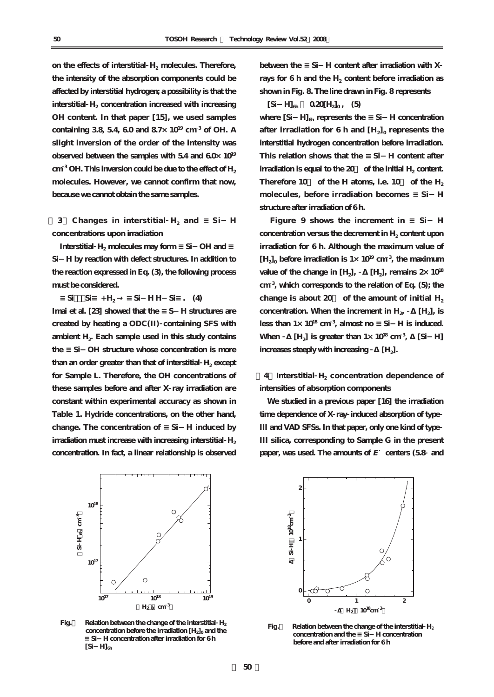on the effects of interstitial  $H_2$  molecules. Therefore, **the intensity of the absorption components could be affected by interstitial hydrogen; a possibility is that the** interstitial H<sub>2</sub> concentration increased with increasing **OH content. In that paper [15], we used samples containing 3.8, 5.4, 6.0 and 8.7×10<sup>19</sup> cm <sup>3</sup> of OH. A slight inversion of the order of the intensity was observed between the samples with 5.4 and 6.0×10<sup>19</sup>**  $cm<sup>3</sup>OH$ . This inversion could be due to the effect of  $H<sub>2</sub>$ **molecules. However, we cannot confirm that now, because we cannot obtain the same samples.**

**1 3 Changes in interstitial H<sub>2</sub> and Si- H concentrations upon irradiation**

Interstitial **H<sub>2</sub>** molecules may form Si-OH and **Si-H by reaction with defect structures. In addition to the reaction expressed in Eq. (3), the following process must be considered.**

**≡Si・・・Si≡ + H2 → ≡Si-H H-Si≡. (4)** Imai et al. [23] showed that the S H structures are **created by heating a ODC(II) containing SFS with** ambient H<sub>2</sub>. Each sample used in this study contains **the ≡Si-OH structure whose concentration is more** than an order greater than that of interstitial H<sub>2</sub> except **for Sample L. Therefore, the OH concentrations of these samples before and after X ray irradiation are constant within experimental accuracy as shown in Table 1. Hydride concentrations, on the other hand,** change. The concentration of Si-H induced by **irradiation must increase with increasing interstitial** H<sub>2</sub> **concentration. In fact, a linear relationship is observed**



**Fig.8 Relation between the change of the interstitial H2 concentration before the irradiation [H<sub>2</sub>]<sub>0</sub> and the ≡Si-H concentration after irradiation for 6 h**   $[Si \ H]_{\text{th}}$ 

**between the ≡Si-H content after irradiation with X** rays for 6 h and the H<sub>2</sub> content before irradiation as **shown in Fig. 8. The line drawn in Fig. 8 represents**

 $[Si H]_{6h}$  **0.20** $[H_2]_{0h}$  **(5)** 

where [Si H]<sub>6h</sub> represents the Si H concentration after irradiation for  $6 h$  and  $[H_2]_0$  represents the **interstitial hydrogen concentration before irradiation.** This relation shows that the Si-H content after  $i$ **rradiation is equal to the 20** of the initial  $H_2$  content. Therefore  $10$  of the H atoms, i.e.  $10$  of the  $H_2$ **molecules, before irradiation becomes ≡Si-H structure after irradiation of 6 h.**

Figure 9 shows the increment in Si<sup>H</sup> concentration versus the decrement in H<sub>2</sub> content upon **irradiation for 6 h. Although the maximum value of**  $[H_2]_0$  before irradiation is  $1 \times 10^{19}$  cm<sup>3</sup>, the maximum value of the change in  $[H_2]$ ,  $[H_2]$ , remains  $2 \times 10^{18}$ **cm <sup>3</sup> , which corresponds to the relation of Eq. (5); the** change is about  $20$  of the amount of initial  $H_2$  $\alpha$  concentration. When the increment in  $H_2$  [H<sub>2</sub>], is **less than**  $1 \times 10^{18}$  cm<sup>3</sup>, almost no  $\,$  Si  $\,$  H is induced. When  $[H_2]$  is greater than  $1 \times 10^{18}$  cm<sup>3</sup>. *<u>ISi* H<sub>1</sub></sub></u> **increases steeply with increasing** [H<sub>2</sub>].

4 Interstitial H<sub>2</sub> concentration dependence of **intensities of absorption components**

**We studied in a previous paper [16] the irradiation time dependence of X ray induced absorption of type III and VAD SFSs. In that paper, only one kind of type III silica, corresponding to Sample G in the present paper, was used. The amounts of E′centers (5.8 and**



**Fig.9 Relation between the change of the interstitial H2 concentration and the ≡Si-H concentration before and after irradiation for 6 h**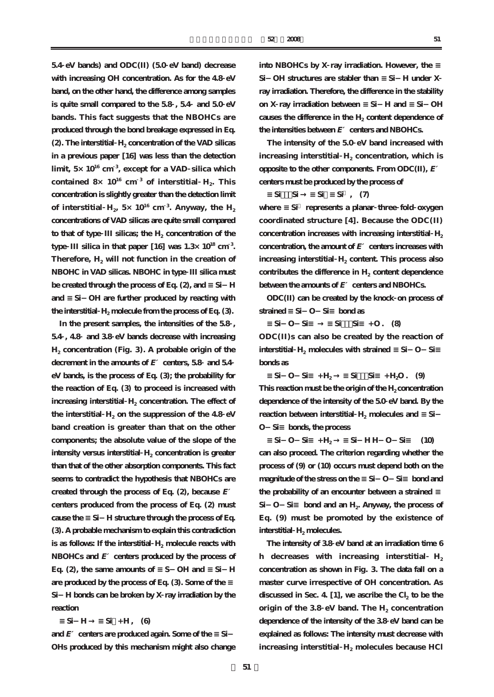**5.4 eV bands) and ODC(II) (5.0 eV band) decrease with increasing OH concentration. As for the 4.8 eV band, on the other hand, the difference among samples is quite small compared to the 5.8 , 5.4 and 5.0 eV bands. This fact suggests that the NBOHCs are produced through the bond breakage expressed in Eq. (2). The interstitial H<sub>2</sub> concentration of the VAD silicas in a previous paper [16] was less than the detection limit, 5×10<sup>16</sup> cm <sup>3</sup> , except for a VAD silica which** contained  $8 \times 10^{16}$  cm<sup>3</sup> of interstitial  $H_2$ . This **concentration is slightly greater than the detection limit** of interstitial  $H_2$ , 5× 10<sup>16</sup> cm<sup>3</sup>. Anyway, the  $H_2$ **concentrations of VAD silicas are quite small compared** to that of type **III** silicas; the H<sub>2</sub> concentration of the **type III silica in that paper [16] was 1.3×10<sup>18</sup> cm <sup>3</sup> .** Therefore,  $H_2$  will not function in the creation of **NBOHC in VAD silicas. NBOHC in type III silica must** be created through the process of Eq. (2), and SiH and Si-OH are further produced by reacting with the interstitial **H<sub>2</sub>** molecule from the process of Eq. (3).

**In the present samples, the intensities of the 5.8 , 5.4 , 4.8 and 3.8 eV bands decrease with increasing H2 concentration (Fig. 3). A probable origin of the decrement in the amounts of E′centers, 5.8 and 5.4 eV bands, is the process of Eq. (3); the probability for the reaction of Eq. (3) to proceed is increased with** increasing interstitial H<sub>2</sub> concentration. The effect of the interstitial  $H_2$  on the suppression of the 4.8  $eV$ **band creation is greater than that on the other components; the absolute value of the slope of the intensity versus interstitial H<sub>2</sub> concentration is greater than that of the other absorption components. This fact seems to contradict the hypothesis that NBOHCs are created through the process of Eq. (2), because E′ centers produced from the process of Eq. (2) must cause the ≡Si-H structure through the process of Eq. (3). A probable mechanism to explain this contradiction** is as follows: If the interstitial  $H_2$  molecule reacts with **NBOHCs and E′centers produced by the process of** Eq. (2), the same amounts of S OH and Si H are produced by the process of Eq. (3). Some of the **Si-H bonds can be broken by X ray irradiation by the reaction**

 $Si$  H  $Si$  + H, (6)

**and E′centers are produced again. Some of the ≡Si- OHs produced by this mechanism might also change** **into NBOHCs by X** ray irradiation. However, the Si-OH structures are stabler than Si-H under X **ray irradiation. Therefore, the difference in the stability on X ray irradiation between ≡Si-H and ≡Si-OH** causes the difference in the H<sub>2</sub> content dependence of the intensities between  $E$  centers and NBOHCs.

**The intensity of the 5.0 eV band increased with** increasing interstitial  $H_2$  concentration, which is **opposite to the other components. From ODC(II), E′ centers must be produced by the process of**

 $\text{Si}$  Si  $\text{Si}$  Si  $\text{Si}$  (7)

**where ≡Si represents a planar three fold oxygen coordinated structure [4]. Because the ODC(II)** concentration increases with increasing interstitial H<sub>2</sub> **concentration, the amount of E′centers increases with** increasing interstitial **H<sub>2</sub>** content. This process also  $\text{contributes}$  the difference in  $H_2$  content dependence **between the amounts of E′centers and NBOHCs.**

**ODC(II) can be created by the knock on process of** strained Si O Si bond as

**Si** O Si Si Si + O . (8) **ODC(II)s can also be created by the reaction of interstitial H<sub>2</sub> molecules with strained Si-O-Si bonds as**

 $\text{Si} \quad \text{O} \quad \text{Si} \quad + \text{H}_2 \quad \text{Si} \quad \text{Si} \quad + \text{H}_2 \text{O}.$  (9) This reaction must be the origin of the H<sub>2</sub> concentration **dependence of the intensity of the 5.0 eV band. By the reaction between interstitial H<sub>2</sub> molecules and** Si **O-Si≡ bonds, the process**

**≡Si-O-Si≡ + H2 → ≡Si-H H-O-Si≡ (10) can also proceed. The criterion regarding whether the process of (9) or (10) occurs must depend both on the** magnitude of the stress on the Si-O-Si bond and the probability of an encounter between a strained Si O-Si bond and an H<sub>2</sub>. Anyway, the process of **Eq. (9) must be promoted by the existence of interstitial H<sub>2</sub> molecules.** 

**The intensity of 3.8 eV band at an irradiation time 6 h** decreases with increasing interstitial  $H_2$ **concentration as shown in Fig. 3. The data fall on a master curve irrespective of OH concentration. As** discussed in Sec. 4. [1], we ascribe the  $Cl<sub>2</sub>$  to be the origin of the  $3.8 \text{ eV}$  band. The  $H_2$  concentration **dependence of the intensity of the 3.8 eV band can be explained as follows: The intensity must decrease with** increasing interstitial  $H_2$  molecules because HCl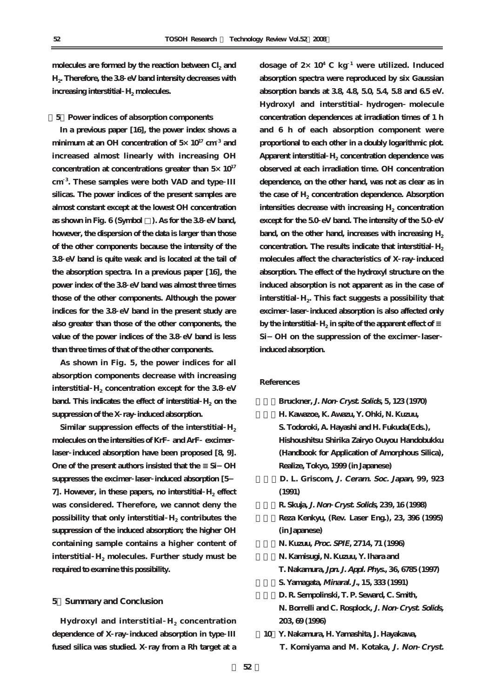molecules are formed by the reaction between Cl<sub>2</sub> and **H2. Therefore, the 3.8 eV band intensity decreases with** increasing interstitial H<sub>2</sub> molecules.

**[5]Power indices of absorption components**

**In a previous paper [16], the power index shows a minimum at an OH concentration of 5×10<sup>17</sup> cm <sup>3</sup> and increased almost linearly with increasing OH concentration at concentrations greater than 5×10<sup>17</sup> cm <sup>3</sup> . These samples were both VAD and type III silicas. The power indices of the present samples are almost constant except at the lowest OH concentration as shown in Fig. 6 (Symbol □). As for the 3.8 eV band, however, the dispersion of the data is larger than those of the other components because the intensity of the 3.8 eV band is quite weak and is located at the tail of the absorption spectra. In a previous paper [16], the power index of the 3.8 eV band was almost three times those of the other components. Although the power indices for the 3.8 eV band in the present study are also greater than those of the other components, the value of the power indices of the 3.8 eV band is less than three times of that of the other components.**

**As shown in Fig. 5, the power indices for all absorption components decrease with increasing** interstitial  $H_2$  concentration except for the 3.8  $eV$ **band.** This indicates the effect of interstitial H<sub>2</sub> on the **suppression of the X ray induced absorption.**

Similar suppression effects of the interstitial  $H_2$ **molecules on the intensities of KrF and ArF excimer laser induced absorption have been proposed [8, 9].** One of the present authors insisted that the Si-OH **suppresses the excimer laser induced absorption [5-** 7. However, in these papers, no interstitial H<sub>2</sub> effect **was considered. Therefore, we cannot deny the possibility that only interstitial**  $H_2$  **contributes the suppression of the induced absorption; the higher OH containing sample contains a higher content of** interstitial  $H_2$  molecules. Further study must be **required to examine this possibility.**

#### **5.Summary and Conclusion**

Hydroxyl and interstitial  $H_2$  concentration **dependence of X ray induced absorption in type III fused silica was studied. X ray from a Rh target at a**

**dosage of 2×10<sup>4</sup> C kg <sup>1</sup> were utilized. Induced absorption spectra were reproduced by six Gaussian absorption bands at 3.8, 4.8, 5.0, 5.4, 5.8 and 6.5 eV. Hydroxyl and interstitial hydrogen molecule concentration dependences at irradiation times of 1 h and 6 h of each absorption component were proportional to each other in a doubly logarithmic plot.** Apparent interstitial H<sub>2</sub> concentration dependence was **observed at each irradiation time. OH concentration dependence, on the other hand, was not as clear as in** the case of H<sub>2</sub> concentration dependence. Absorption **intensities decrease with increasing H<sub>2</sub> concentration except for the 5.0 eV band. The intensity of the 5.0 eV** band, on the other hand, increases with increasing H<sub>2</sub> concentration. The results indicate that interstitial H<sub>2</sub> **molecules affect the characteristics of X ray induced absorption. The effect of the hydroxyl structure on the induced absorption is not apparent as in the case of** interstitial H<sub>2</sub>. This fact suggests a possibility that **excimer laser induced absorption is also affected only by the interstitial H<sub>2</sub> in spite of the apparent effect of Si-OH on the suppression of the excimer laser induced absorption.**

# **References**

**[1]Bruckner, J. Non Cryst. Solids, 5, 123 (1970) [2]H. Kawazoe, K. Awazu, Y. Ohki, N. Kuzuu, S. Todoroki, A. Hayashi and H. Fukuda(Eds.), Hishoushitsu Shirika Zairyo Ouyou Handobukku (Handbook for Application of Amorphous Silica), Realize, Tokyo, 1999 (in Japanese) [3]D. L. Griscom, J. Ceram. Soc. Japan, 99, 923 (1991) [4]R. Skuja, J. Non Cryst. Solids, 239, 16 (1998) [5]Reza Kenkyu, (Rev. Laser Eng.), 23, 396 (1995) (in Japanese) [6]N. Kuzuu, Proc. SPIE, 2714, 71 (1996) [7]N. Kamisugi, N. Kuzuu, Y. Ihara and T. Nakamura, Jpn. J. Appl. Phys., 36, 6785 (1997) [8]S. Yamagata, Minaral. J., 15, 333 (1991) [9]D. R. Sempolinski, T. P. Seward, C. Smith, N. Borrelli and C. Rosplock, J. Non Cryst. Solids, 203, 69 (1996) [10]Y. Nakamura, H. Yamashita, J. Hayakawa,** 

**T. Komiyama and M. Kotaka, J. Non Cryst.**